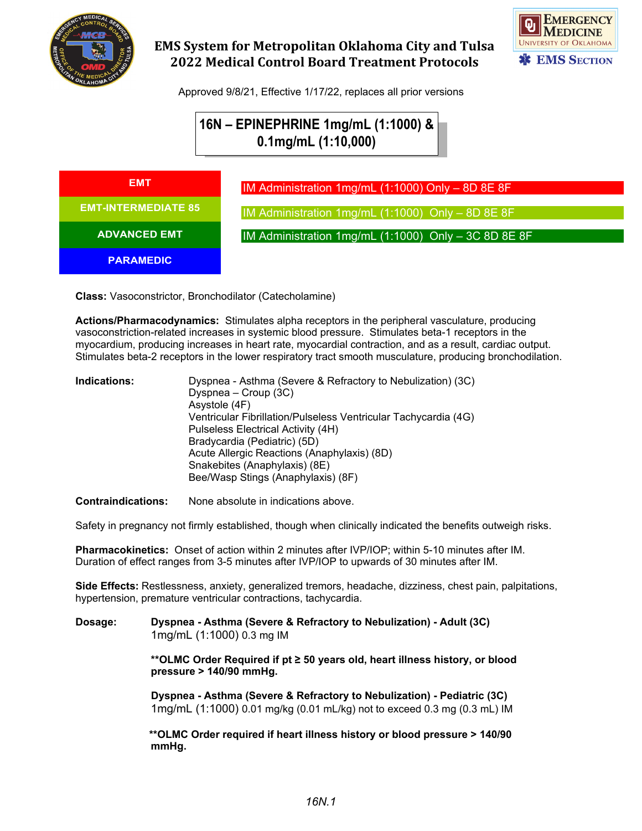

## **EMS System for Metropolitan Oklahoma City and Tulsa 2022 Medical Control Board Treatment Protocols**



Approved 9/8/21, Effective 1/17/22, replaces all prior versions

# **16N – EPINEPHRINE 1mg/mL (1:1000) & 0.1mg/mL (1:10,000)**

| EMT                        |
|----------------------------|
| <b>EMT-INTERMEDIATE 85</b> |
| <b>ADVANCED EMT</b>        |
| <b>PARAMEDIC</b>           |

IM Administration 1mg/mL (1:1000) Only – 8D 8E 8F IM Administration 1mg/mL (1:1000) Only – 8D 8E 8F

IM Administration 1mg/mL (1:1000) Only – 3C 8D 8E 8F

**Class:** Vasoconstrictor, Bronchodilator (Catecholamine)

**Actions/Pharmacodynamics:** Stimulates alpha receptors in the peripheral vasculature, producing vasoconstriction-related increases in systemic blood pressure. Stimulates beta-1 receptors in the myocardium, producing increases in heart rate, myocardial contraction, and as a result, cardiac output. Stimulates beta-2 receptors in the lower respiratory tract smooth musculature, producing bronchodilation.

| Indications: | Dyspnea - Asthma (Severe & Refractory to Nebulization) (3C)     |
|--------------|-----------------------------------------------------------------|
|              | Dyspnea – Croup (3C)                                            |
|              | Asystole (4F)                                                   |
|              | Ventricular Fibrillation/Pulseless Ventricular Tachycardia (4G) |
|              | Pulseless Electrical Activity (4H)                              |
|              | Bradycardia (Pediatric) (5D)                                    |
|              | Acute Allergic Reactions (Anaphylaxis) (8D)                     |
|              | Snakebites (Anaphylaxis) (8E)                                   |
|              | Bee/Wasp Stings (Anaphylaxis) (8F)                              |
|              |                                                                 |

**Contraindications:** None absolute in indications above.

Safety in pregnancy not firmly established, though when clinically indicated the benefits outweigh risks.

**Pharmacokinetics:** Onset of action within 2 minutes after IVP/IOP; within 5-10 minutes after IM. Duration of effect ranges from 3-5 minutes after IVP/IOP to upwards of 30 minutes after IM.

**Side Effects:** Restlessness, anxiety, generalized tremors, headache, dizziness, chest pain, palpitations, hypertension, premature ventricular contractions, tachycardia.

#### **Dosage: Dyspnea - Asthma (Severe & Refractory to Nebulization) - Adult (3C)** 1mg/mL (1:1000) 0.3 mg IM

**\*\*OLMC Order Required if pt ≥ 50 years old, heart illness history, or blood pressure > 140/90 mmHg.**

**Dyspnea - Asthma (Severe & Refractory to Nebulization) - Pediatric (3C)** 1mg/mL (1:1000) 0.01 mg/kg (0.01 mL/kg) not to exceed 0.3 mg (0.3 mL) IM

 **\*\*OLMC Order required if heart illness history or blood pressure > 140/90 mmHg.**